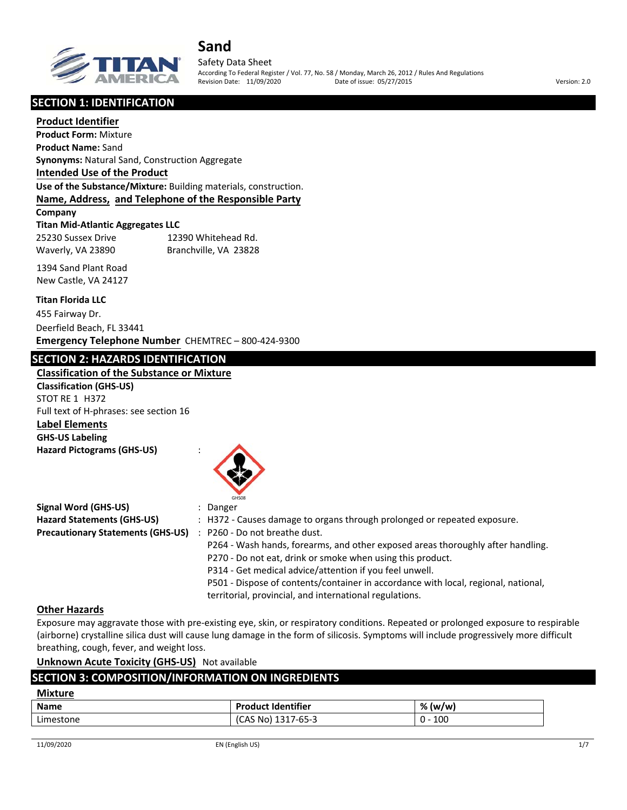

Safety Data Sheet According To Federal Register / Vol. 77, No. 58 / Monday, March 26, 2012 / Rules And Regulations Revision Date: 11/09/2020 Date of issue: 05/27/2015 Version: 2.0

**SECTION 1: IDENTIFICATION**

#### **Product Identifier**

**Product Form:** Mixture **Product Name:** Sand **Synonyms:** Natural Sand, Construction Aggregate **Intended Use of the Product Use of the Substance/Mixture:** Building materials, construction. **Name, Address, and Telephone of the Responsible Party Company**

**Titan Mid‐Atlantic Aggregates LLC** 25230 Sussex Drive 12390 Whitehead Rd. Waverly, VA 23890 Branchville, VA 23828

1394 Sand Plant Road New Castle, VA 24127

#### **Titan Florida LLC**

455 Fairway Dr. Deerfield Beach, FL 33441 **Emergency Telephone Number** CHEMTREC – 800‐424‐9300

## **SECTION 2: HAZARDS IDENTIFICATION**

**Classification of the Substance or Mixture Classification (GHS‐US)** STOT RE 1 H372 Full text of H‐phrases: see section 16 **Label Elements GHS‐US Labeling Hazard Pictograms (GHS‐US)** :



|                                          | GHS08                                                                              |
|------------------------------------------|------------------------------------------------------------------------------------|
| Signal Word (GHS-US)                     | : Danger                                                                           |
| Hazard Statements (GHS-US)               | : H372 - Causes damage to organs through prolonged or repeated exposure.           |
| <b>Precautionary Statements (GHS-US)</b> | : P260 - Do not breathe dust.                                                      |
|                                          | P264 - Wash hands, forearms, and other exposed areas thoroughly after handling.    |
|                                          | P270 - Do not eat, drink or smoke when using this product.                         |
|                                          | P314 - Get medical advice/attention if you feel unwell.                            |
|                                          | P501 - Dispose of contents/container in accordance with local, regional, national, |
|                                          | territorial, provincial, and international regulations.                            |

#### **Other Hazards**

Exposure may aggravate those with pre‐existing eye, skin, or respiratory conditions. Repeated or prolonged exposure to respirable (airborne) crystalline silica dust will cause lung damage in the form of silicosis. Symptoms will include progressively more difficult breathing, cough, fever, and weight loss.

**Unknown Acute Toxicity (GHS‐US)** Not available

## **SECTION 3: COMPOSITION/INFORMATION ON INGREDIENTS**

| <b>Mixture</b> |                           |           |
|----------------|---------------------------|-----------|
| <b>Name</b>    | <b>Product Identifier</b> | % (w/w)   |
| Limestone      | (CAS No) 1317-65-3        | $0 - 100$ |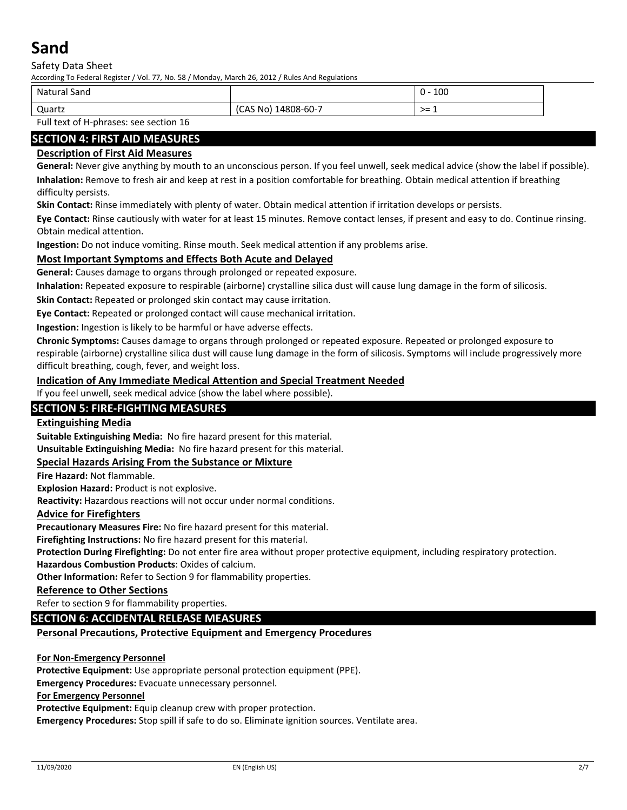Safety Data Sheet

According To Federal Register / Vol. 77, No. 58 / Monday, March 26, 2012 / Rules And Regulations

| Natural<br>Sand                                |                           | 100    |
|------------------------------------------------|---------------------------|--------|
| Quartz                                         | 14808-60-7<br>(CAS<br>No' | . >= ⊥ |
| _  _ _ _ _<br>.<br>$\sim$ $\sim$ $\sim$ $\sim$ |                           |        |

Full text of H‐phrases: see section 16

## **SECTION 4: FIRST AID MEASURES**

## **Description of First Aid Measures**

**General:** Never give anything by mouth to an unconscious person. If you feel unwell, seek medical advice (show the label if possible). **Inhalation:** Remove to fresh air and keep at rest in a position comfortable for breathing. Obtain medical attention if breathing difficulty persists.

**Skin Contact:** Rinse immediately with plenty of water. Obtain medical attention if irritation develops or persists.

**Eye Contact:** Rinse cautiously with water for at least 15 minutes. Remove contact lenses, if present and easy to do. Continue rinsing. Obtain medical attention.

**Ingestion:** Do not induce vomiting. Rinse mouth. Seek medical attention if any problems arise.

### **Most Important Symptoms and Effects Both Acute and Delayed**

**General:** Causes damage to organs through prolonged or repeated exposure.

**Inhalation:** Repeated exposure to respirable (airborne) crystalline silica dust will cause lung damage in the form of silicosis.

**Skin Contact:** Repeated or prolonged skin contact may cause irritation.

**Eye Contact:** Repeated or prolonged contact will cause mechanical irritation.

**Ingestion:** Ingestion is likely to be harmful or have adverse effects.

**Chronic Symptoms:** Causes damage to organs through prolonged or repeated exposure. Repeated or prolonged exposure to respirable (airborne) crystalline silica dust will cause lung damage in the form of silicosis. Symptoms will include progressively more difficult breathing, cough, fever, and weight loss.

#### **Indication of Any Immediate Medical Attention and Special Treatment Needed**

If you feel unwell, seek medical advice (show the label where possible).

## **SECTION 5: FIRE‐FIGHTING MEASURES**

### **Extinguishing Media**

**Suitable Extinguishing Media:** No fire hazard present for this material.

**Unsuitable Extinguishing Media:** No fire hazard present for this material.

#### **Special Hazards Arising From the Substance or Mixture**

**Fire Hazard:** Not flammable.

**Explosion Hazard:** Product is not explosive.

**Reactivity:** Hazardous reactions will not occur under normal conditions.

#### **Advice for Firefighters**

**Precautionary Measures Fire:** No fire hazard present for this material.

**Firefighting Instructions:** No fire hazard present for this material.

**Protection During Firefighting:** Do not enter fire area without proper protective equipment, including respiratory protection.

**Hazardous Combustion Products**: Oxides of calcium.

**Other Information:** Refer to Section 9 for flammability properties.

#### **Reference to Other Sections**

Refer to section 9 for flammability properties.

#### **SECTION 6: ACCIDENTAL RELEASE MEASURES**

#### **Personal Precautions, Protective Equipment and Emergency Procedures**

#### **For Non‐Emergency Personnel**

**Protective Equipment:** Use appropriate personal protection equipment (PPE).

**Emergency Procedures:** Evacuate unnecessary personnel.

#### **For Emergency Personnel**

**Protective Equipment:** Equip cleanup crew with proper protection.

**Emergency Procedures:** Stop spill if safe to do so. Eliminate ignition sources. Ventilate area.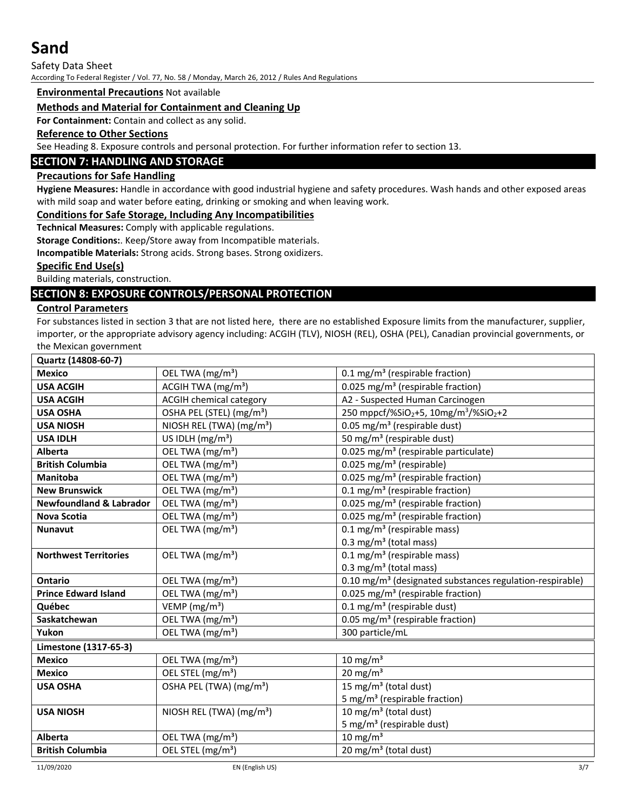Safety Data Sheet

According To Federal Register / Vol. 77, No. 58 / Monday, March 26, 2012 / Rules And Regulations

#### **Environmental Precautions** Not available

#### **Methods and Material for Containment and Cleaning Up**

**For Containment:** Contain and collect as any solid.

#### **Reference to Other Sections**

See Heading 8. Exposure controls and personal protection. For further information refer to section 13.

### **SECTION 7: HANDLING AND STORAGE**

#### **Precautions for Safe Handling**

**Hygiene Measures:** Handle in accordance with good industrial hygiene and safety procedures. Wash hands and other exposed areas with mild soap and water before eating, drinking or smoking and when leaving work.

#### **Conditions for Safe Storage, Including Any Incompatibilities**

**Technical Measures:** Comply with applicable regulations.

**Storage Conditions:**. Keep/Store away from Incompatible materials.

**Incompatible Materials:** Strong acids. Strong bases. Strong oxidizers.

#### **Specific End Use(s)**

Building materials, construction.

## **SECTION 8: EXPOSURE CONTROLS/PERSONAL PROTECTION**

## **Control Parameters**

For substances listed in section 3 that are not listed here, there are no established Exposure limits from the manufacturer, supplier, importer, or the appropriate advisory agency including: ACGIH (TLV), NIOSH (REL), OSHA (PEL), Canadian provincial governments, or the Mexican government

| Quartz (14808-60-7)                |                                      |                                                                           |
|------------------------------------|--------------------------------------|---------------------------------------------------------------------------|
| <b>Mexico</b>                      | OEL TWA (mg/m <sup>3</sup> )         | 0.1 mg/m <sup>3</sup> (respirable fraction)                               |
| <b>USA ACGIH</b>                   | ACGIH TWA $(mg/m3)$                  | 0.025 mg/m <sup>3</sup> (respirable fraction)                             |
| <b>USA ACGIH</b>                   | <b>ACGIH chemical category</b>       | A2 - Suspected Human Carcinogen                                           |
| <b>USA OSHA</b>                    | OSHA PEL (STEL) (mg/m <sup>3</sup> ) | 250 mppcf/%SiO <sub>2</sub> +5, 10mg/m <sup>3</sup> /%SiO <sub>2</sub> +2 |
| <b>USA NIOSH</b>                   | NIOSH REL (TWA) (mg/m <sup>3</sup> ) | 0.05 mg/m <sup>3</sup> (respirable dust)                                  |
| <b>USA IDLH</b>                    | US IDLH $(mg/m3)$                    | 50 mg/m <sup>3</sup> (respirable dust)                                    |
| <b>Alberta</b>                     | OEL TWA (mg/m <sup>3</sup> )         | 0.025 mg/m <sup>3</sup> (respirable particulate)                          |
| <b>British Columbia</b>            | OEL TWA (mg/m <sup>3</sup> )         | $0.025$ mg/m <sup>3</sup> (respirable)                                    |
| Manitoba                           | OEL TWA (mg/m <sup>3</sup> )         | 0.025 mg/m <sup>3</sup> (respirable fraction)                             |
| <b>New Brunswick</b>               | OEL TWA (mg/m <sup>3</sup> )         | 0.1 mg/m <sup>3</sup> (respirable fraction)                               |
| <b>Newfoundland &amp; Labrador</b> | OEL TWA (mg/m <sup>3</sup> )         | 0.025 mg/m <sup>3</sup> (respirable fraction)                             |
| <b>Nova Scotia</b>                 | OEL TWA (mg/m <sup>3</sup> )         | 0.025 mg/m <sup>3</sup> (respirable fraction)                             |
| <b>Nunavut</b>                     | OEL TWA (mg/m <sup>3</sup> )         | $0.1 \text{ mg/m}^3$ (respirable mass)                                    |
|                                    |                                      | 0.3 mg/m <sup>3</sup> (total mass)                                        |
| <b>Northwest Territories</b>       | OEL TWA (mg/m <sup>3</sup> )         | $0.1 \text{ mg/m}^3$ (respirable mass)                                    |
|                                    |                                      | 0.3 mg/m <sup>3</sup> (total mass)                                        |
| <b>Ontario</b>                     | OEL TWA (mg/m <sup>3</sup> )         | 0.10 mg/m <sup>3</sup> (designated substances regulation-respirable)      |
| <b>Prince Edward Island</b>        | OEL TWA (mg/m <sup>3</sup> )         | 0.025 mg/m <sup>3</sup> (respirable fraction)                             |
| Québec                             | VEMP ( $mg/m3$ )                     | $0.1 \text{ mg/m}^3$ (respirable dust)                                    |
| Saskatchewan                       | OEL TWA (mg/m <sup>3</sup> )         | 0.05 mg/m <sup>3</sup> (respirable fraction)                              |
| Yukon                              | OEL TWA (mg/m <sup>3</sup> )         | 300 particle/mL                                                           |
| Limestone (1317-65-3)              |                                      |                                                                           |
| <b>Mexico</b>                      | OEL TWA (mg/m <sup>3</sup> )         | $10 \text{ mg/m}^3$                                                       |
| <b>Mexico</b>                      | OEL STEL (mg/m <sup>3</sup> )        | $20 \text{ mg/m}^3$                                                       |
| <b>USA OSHA</b>                    | OSHA PEL (TWA) (mg/m <sup>3</sup> )  | 15 mg/m <sup>3</sup> (total dust)                                         |
|                                    |                                      | 5 mg/m <sup>3</sup> (respirable fraction)                                 |
| <b>USA NIOSH</b>                   | NIOSH REL (TWA) $(mg/m3)$            | 10 mg/m <sup>3</sup> (total dust)                                         |
|                                    |                                      | 5 mg/m <sup>3</sup> (respirable dust)                                     |
| Alberta                            | OEL TWA (mg/m <sup>3</sup> )         | $10 \text{ mg/m}^3$                                                       |
| <b>British Columbia</b>            | OEL STEL (mg/m <sup>3</sup> )        | 20 mg/m <sup>3</sup> (total dust)                                         |
|                                    |                                      |                                                                           |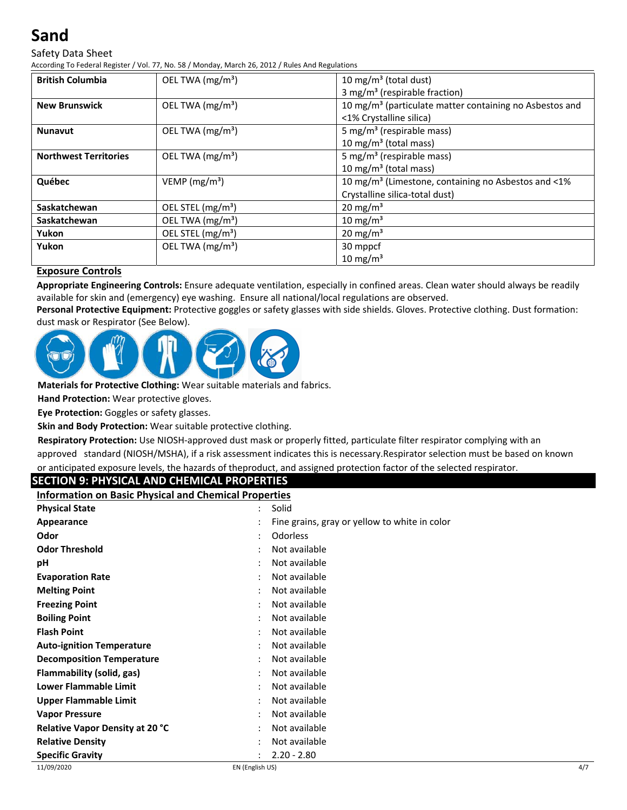Safety Data Sheet

According To Federal Register / Vol. 77, No. 58 / Monday, March 26, 2012 / Rules And Regulations

| <b>British Columbia</b>      | OEL TWA $(mg/m3)$             | 10 mg/m <sup>3</sup> (total dust)                                   |
|------------------------------|-------------------------------|---------------------------------------------------------------------|
|                              |                               | 3 mg/m <sup>3</sup> (respirable fraction)                           |
| <b>New Brunswick</b>         | OEL TWA $(mg/m3)$             | 10 mg/m <sup>3</sup> (particulate matter containing no Asbestos and |
|                              |                               | <1% Crystalline silica)                                             |
| <b>Nunavut</b>               | OEL TWA $(mg/m3)$             | 5 mg/m <sup>3</sup> (respirable mass)                               |
|                              |                               | 10 mg/m <sup>3</sup> (total mass)                                   |
| <b>Northwest Territories</b> | OEL TWA $(mg/m3)$             | 5 mg/m <sup>3</sup> (respirable mass)                               |
|                              |                               | 10 mg/m <sup>3</sup> (total mass)                                   |
| Québec                       | VEMP ( $mg/m3$ )              | 10 mg/m <sup>3</sup> (Limestone, containing no Asbestos and <1%     |
|                              |                               | Crystalline silica-total dust)                                      |
| Saskatchewan                 | OEL STEL (mg/m <sup>3</sup> ) | $20 \text{ mg/m}^3$                                                 |
| Saskatchewan                 | OEL TWA (mg/m <sup>3</sup> )  | $10 \text{ mg/m}^3$                                                 |
| Yukon                        | OEL STEL (mg/m <sup>3</sup> ) | $20 \text{ mg/m}^3$                                                 |
| Yukon                        | OEL TWA $(mg/m3)$             | 30 mppcf                                                            |
|                              |                               | $10 \text{ mg/m}^3$                                                 |

## **Exposure Controls**

**Appropriate Engineering Controls:** Ensure adequate ventilation, especially in confined areas. Clean water should always be readily  available for skin and (emergency) eye washing. Ensure all national/local regulations are observed.

**Personal Protective Equipment:** Protective goggles or safety glasses with side shields. Gloves. Protective clothing. Dust formation: dust mask or Respirator (See Below).



**Materials for Protective Clothing:** Wear suitable materials and fabrics.

**Hand Protection:** Wear protective gloves.

**Eye Protection:** Goggles or safety glasses.

**Skin and Body Protection:** Wear suitable protective clothing.

**Respiratory Protection:** Use NIOSH-approved dust mask or properly fitted, particulate filter respirator complying with an approved standard (NIOSH/MSHA), if a risk assessment indicates this is necessary.Respirator selection must be based on known or anticipated exposure levels, the hazards of theproduct, and assigned protection factor of the selected respirator.

#### **SECTION 9: PHYSICAL AND CHEMICAL PROPERTIES**

**Information on Basic Physical and Chemical Properties**

| <b>Physical State</b>                  | Solid<br>٠                                    |     |
|----------------------------------------|-----------------------------------------------|-----|
| Appearance                             | Fine grains, gray or yellow to white in color |     |
| Odor                                   | <b>Odorless</b><br>$\bullet$                  |     |
| <b>Odor Threshold</b>                  | Not available<br>٠<br>$\cdot$                 |     |
| рH                                     | Not available<br>$\bullet$                    |     |
| <b>Evaporation Rate</b>                | Not available<br>٠<br>$\cdot$                 |     |
| <b>Melting Point</b>                   | Not available<br>٠                            |     |
| <b>Freezing Point</b>                  | Not available<br>٠                            |     |
| <b>Boiling Point</b>                   | Not available<br>٠                            |     |
| <b>Flash Point</b>                     | Not available<br>$\bullet$                    |     |
| <b>Auto-ignition Temperature</b>       | Not available<br>$\bullet$                    |     |
| <b>Decomposition Temperature</b>       | Not available<br>$\ddot{\cdot}$               |     |
| Flammability (solid, gas)              | Not available<br>٠                            |     |
| Lower Flammable Limit                  | Not available<br>٠                            |     |
| Upper Flammable Limit                  | Not available<br>$\ddot{\cdot}$               |     |
| <b>Vapor Pressure</b>                  | Not available<br>٠                            |     |
| <b>Relative Vapor Density at 20 °C</b> | Not available<br>$\bullet$                    |     |
| <b>Relative Density</b>                | Not available<br>$\bullet$                    |     |
| <b>Specific Gravity</b>                | $2.20 - 2.80$<br>٠                            |     |
| 11/09/2020                             | EN (English US)                               | 4/7 |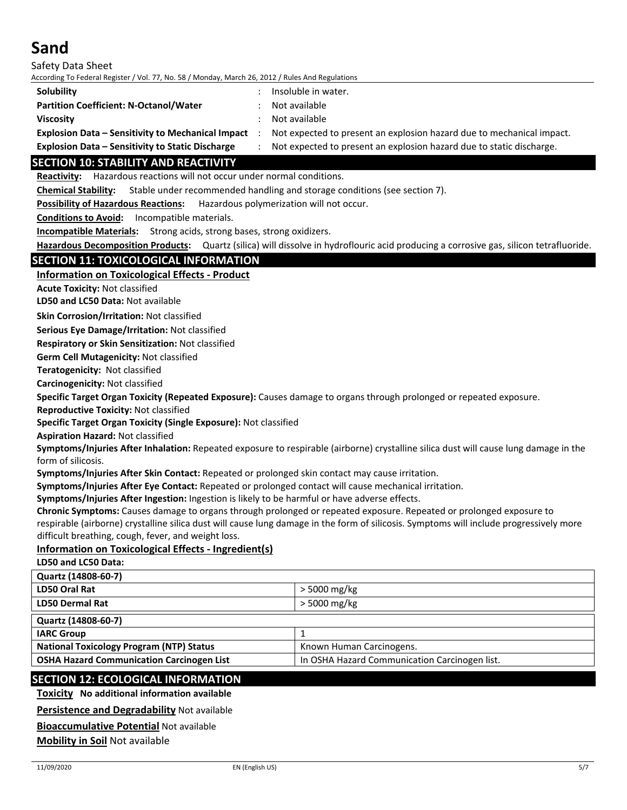Safety Data Sheet According To Federal Register / Vol. 77, No. 58 / Monday, March 26, 2012 / Rules And Regulations

| Solubility                                        | Insoluble in water.                                                   |
|---------------------------------------------------|-----------------------------------------------------------------------|
| <b>Partition Coefficient: N-Octanol/Water</b>     | Not available                                                         |
| <b>Viscosity</b>                                  | Not available                                                         |
| Explosion Data – Sensitivity to Mechanical Impact | Not expected to present an explosion hazard due to mechanical impact. |

**Explosion Data – Sensitivity to Static Discharge** : Not expected to present an explosion hazard due to static discharge.

## **SECTION 10: STABILITY AND REACTIVITY**

**Reactivity:** Hazardous reactions will not occur under normal conditions.

**Chemical Stability:** Stable under recommended handling and storage conditions (see section 7).

**Possibility of Hazardous Reactions:** Hazardous polymerization will not occur.

**Conditions to Avoid:** Incompatible materials.

**Incompatible Materials:** Strong acids, strong bases, strong oxidizers.

**Hazardous Decomposition Products:** Quartz (silica) will dissolve in hydroflouric acid producing a corrosive gas, silicon tetrafluoride.

## **SECTION 11: TOXICOLOGICAL INFORMATION**

## **Information on Toxicological Effects ‐ Product**

**Acute Toxicity:** Not classified

**LD50 and LC50 Data:** Not available

**Skin Corrosion/Irritation:** Not classified

**Serious Eye Damage/Irritation:** Not classified

**Respiratory or Skin Sensitization:** Not classified

**Germ Cell Mutagenicity:** Not classified

**Teratogenicity:** Not classified

**Carcinogenicity:** Not classified

**Specific Target Organ Toxicity (Repeated Exposure):** Causes damage to organs through prolonged or repeated exposure.

**Reproductive Toxicity:** Not classified

**Specific Target Organ Toxicity (Single Exposure):** Not classified

**Aspiration Hazard:** Not classified

**Symptoms/Injuries After Inhalation:** Repeated exposure to respirable (airborne) crystalline silica dust will cause lung damage in the form of silicosis.

**Symptoms/Injuries After Skin Contact:** Repeated or prolonged skin contact may cause irritation.

**Symptoms/Injuries After Eye Contact:** Repeated or prolonged contact will cause mechanical irritation.

**Symptoms/Injuries After Ingestion:** Ingestion is likely to be harmful or have adverse effects.

**Chronic Symptoms:** Causes damage to organs through prolonged or repeated exposure. Repeated or prolonged exposure to respirable (airborne) crystalline silica dust will cause lung damage in the form of silicosis. Symptoms will include progressively more

difficult breathing, cough, fever, and weight loss.

## **Information on Toxicological Effects ‐ Ingredient(s)**

**LD50 and LC50 Data:**

| Quartz (14808-60-7)                              |                                               |
|--------------------------------------------------|-----------------------------------------------|
| LD50 Oral Rat                                    | $>$ 5000 mg/kg                                |
| <b>LD50 Dermal Rat</b>                           | > 5000 mg/kg                                  |
| Quartz (14808-60-7)                              |                                               |
| <b>IARC Group</b>                                |                                               |
| <b>National Toxicology Program (NTP) Status</b>  | Known Human Carcinogens.                      |
| <b>OSHA Hazard Communication Carcinogen List</b> | In OSHA Hazard Communication Carcinogen list. |
|                                                  |                                               |

## **SECTION 12: ECOLOGICAL INFORMATION**

**Toxicity No additional information available**

#### **Persistence and Degradability** Not available

**Bioaccumulative Potential** Not available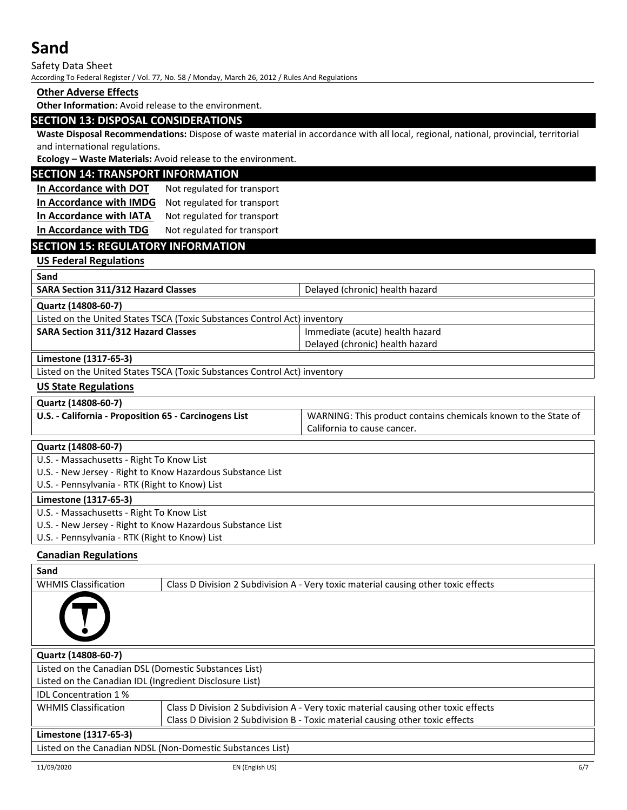Safety Data Sheet According To Federal Register / Vol. 77, No. 58 / Monday, March 26, 2012 / Rules And Regulations

### **Other Adverse Effects**

**Other Information:** Avoid release to the environment.

## **SECTION 13: DISPOSAL CONSIDERATIONS**

**Waste Disposal Recommendations:** Dispose of waste material in accordance with all local, regional, national, provincial, territorial and international regulations.

**Ecology – Waste Materials:** Avoid release to the environment.

### **SECTION 14: TRANSPORT INFORMATION**

**In Accordance with DOT** Not regulated for transport **In Accordance with IMDG** Not regulated for transport **In Accordance with IATA** Not regulated for transport **In Accordance with TDG** Not regulated for transport

## **SECTION 15: REGULATORY INFORMATION**

## **US Federal Regulations**

| Sand                                                                      |                                 |  |
|---------------------------------------------------------------------------|---------------------------------|--|
| SARA Section 311/312 Hazard Classes                                       | Delayed (chronic) health hazard |  |
| Quartz (14808-60-7)                                                       |                                 |  |
| Listed on the United States TSCA (Toxic Substances Control Act) inventory |                                 |  |
| <b>SARA Section 311/312 Hazard Classes</b>                                | Immediate (acute) health hazard |  |
|                                                                           | Delayed (chronic) health hazard |  |
| Limestone (1317-65-3)                                                     |                                 |  |
| Listed on the United States TSCA (Toxic Substances Control Act) inventory |                                 |  |
|                                                                           |                                 |  |

### **US State Regulations**

| U.S. - California - Proposition 65 - Carcinogens List | WARNING: This product contains chemicals known to the State of |
|-------------------------------------------------------|----------------------------------------------------------------|
|                                                       | California to cause cancer.                                    |

## **Quartz (14808‐60‐7)**

U.S. ‐ Massachusetts ‐ Right To Know List

U.S. ‐ New Jersey ‐ Right to Know Hazardous Substance List

U.S. ‐ Pennsylvania ‐ RTK (Right to Know) List

#### **Limestone (1317‐65‐3)**

U.S. ‐ Massachusetts ‐ Right To Know List

U.S. ‐ New Jersey ‐ Right to Know Hazardous Substance List

U.S. ‐ Pennsylvania ‐ RTK (Right to Know) List

## **Canadian Regulations**

| Sand                                                       |                                                                                    |  |
|------------------------------------------------------------|------------------------------------------------------------------------------------|--|
| <b>WHMIS Classification</b>                                | Class D Division 2 Subdivision A - Very toxic material causing other toxic effects |  |
|                                                            |                                                                                    |  |
| Quartz (14808-60-7)                                        |                                                                                    |  |
| Listed on the Canadian DSL (Domestic Substances List)      |                                                                                    |  |
| Listed on the Canadian IDL (Ingredient Disclosure List)    |                                                                                    |  |
| <b>IDL Concentration 1%</b>                                |                                                                                    |  |
| <b>WHMIS Classification</b>                                | Class D Division 2 Subdivision A - Very toxic material causing other toxic effects |  |
|                                                            | Class D Division 2 Subdivision B - Toxic material causing other toxic effects      |  |
| Limestone (1317-65-3)                                      |                                                                                    |  |
| Listed on the Canadian NDSL (Non-Domestic Substances List) |                                                                                    |  |